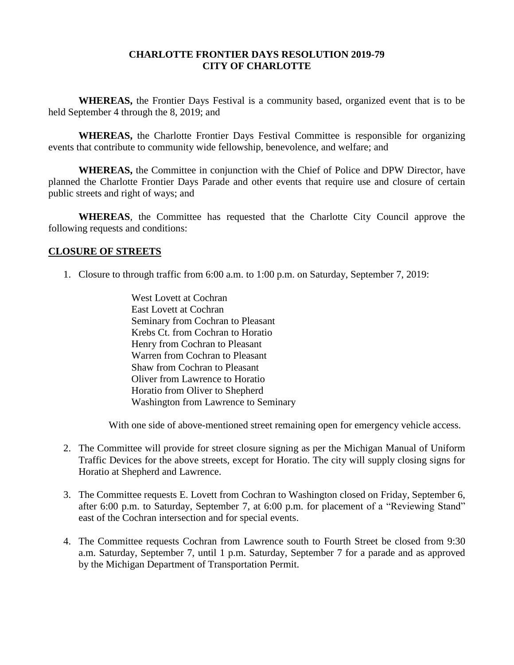## **CHARLOTTE FRONTIER DAYS RESOLUTION 2019-79 CITY OF CHARLOTTE**

**WHEREAS,** the Frontier Days Festival is a community based, organized event that is to be held September 4 through the 8, 2019; and

**WHEREAS,** the Charlotte Frontier Days Festival Committee is responsible for organizing events that contribute to community wide fellowship, benevolence, and welfare; and

**WHEREAS,** the Committee in conjunction with the Chief of Police and DPW Director, have planned the Charlotte Frontier Days Parade and other events that require use and closure of certain public streets and right of ways; and

**WHEREAS**, the Committee has requested that the Charlotte City Council approve the following requests and conditions:

## **CLOSURE OF STREETS**

- 1. Closure to through traffic from 6:00 a.m. to 1:00 p.m. on Saturday, September 7, 2019:
	- West Lovett at Cochran East Lovett at Cochran Seminary from Cochran to Pleasant Krebs Ct. from Cochran to Horatio Henry from Cochran to Pleasant Warren from Cochran to Pleasant Shaw from Cochran to Pleasant Oliver from Lawrence to Horatio Horatio from Oliver to Shepherd Washington from Lawrence to Seminary

With one side of above-mentioned street remaining open for emergency vehicle access.

- 2. The Committee will provide for street closure signing as per the Michigan Manual of Uniform Traffic Devices for the above streets, except for Horatio. The city will supply closing signs for Horatio at Shepherd and Lawrence.
- 3. The Committee requests E. Lovett from Cochran to Washington closed on Friday, September 6, after 6:00 p.m. to Saturday, September 7, at 6:00 p.m. for placement of a "Reviewing Stand" east of the Cochran intersection and for special events.
- 4. The Committee requests Cochran from Lawrence south to Fourth Street be closed from 9:30 a.m. Saturday, September 7, until 1 p.m. Saturday, September 7 for a parade and as approved by the Michigan Department of Transportation Permit.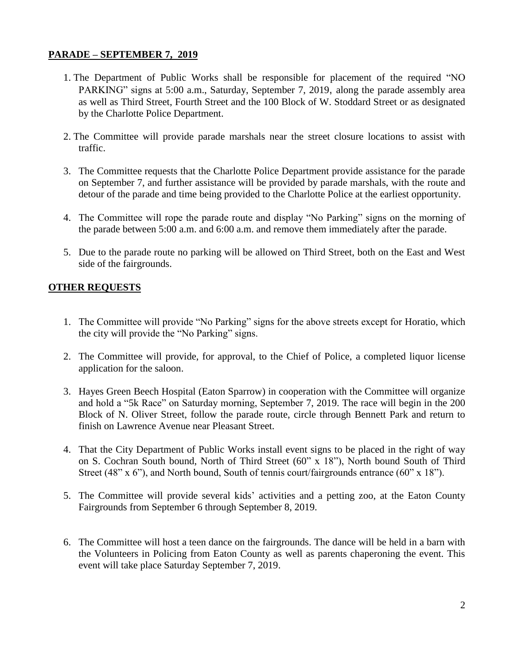## **PARADE – SEPTEMBER 7, 2019**

- 1. The Department of Public Works shall be responsible for placement of the required "NO PARKING" signs at 5:00 a.m., Saturday, September 7, 2019, along the parade assembly area as well as Third Street, Fourth Street and the 100 Block of W. Stoddard Street or as designated by the Charlotte Police Department.
- 2. The Committee will provide parade marshals near the street closure locations to assist with traffic.
- 3. The Committee requests that the Charlotte Police Department provide assistance for the parade on September 7, and further assistance will be provided by parade marshals, with the route and detour of the parade and time being provided to the Charlotte Police at the earliest opportunity.
- 4. The Committee will rope the parade route and display "No Parking" signs on the morning of the parade between 5:00 a.m. and 6:00 a.m. and remove them immediately after the parade.
- 5. Due to the parade route no parking will be allowed on Third Street, both on the East and West side of the fairgrounds.

## **OTHER REQUESTS**

- 1. The Committee will provide "No Parking" signs for the above streets except for Horatio, which the city will provide the "No Parking" signs.
- 2. The Committee will provide, for approval, to the Chief of Police, a completed liquor license application for the saloon.
- 3. Hayes Green Beech Hospital (Eaton Sparrow) in cooperation with the Committee will organize and hold a "5k Race" on Saturday morning, September 7, 2019. The race will begin in the 200 Block of N. Oliver Street, follow the parade route, circle through Bennett Park and return to finish on Lawrence Avenue near Pleasant Street.
- 4. That the City Department of Public Works install event signs to be placed in the right of way on S. Cochran South bound, North of Third Street (60" x 18"), North bound South of Third Street (48" x 6"), and North bound, South of tennis court/fairgrounds entrance (60" x 18").
- 5. The Committee will provide several kids' activities and a petting zoo, at the Eaton County Fairgrounds from September 6 through September 8, 2019.
- 6. The Committee will host a teen dance on the fairgrounds. The dance will be held in a barn with the Volunteers in Policing from Eaton County as well as parents chaperoning the event. This event will take place Saturday September 7, 2019.